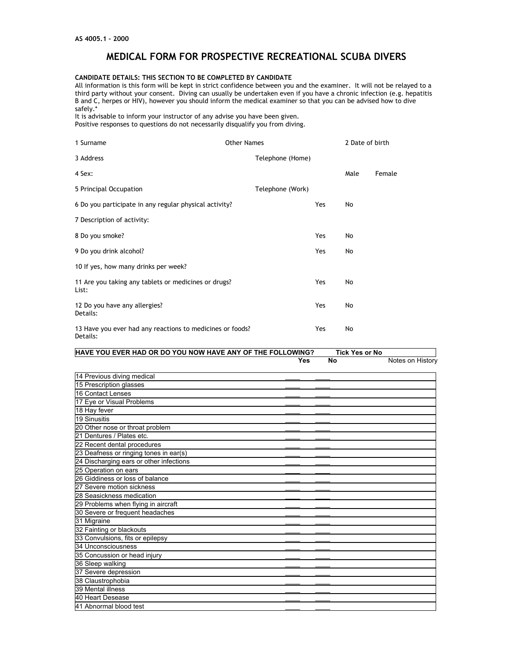# **MEDICAL FORM FOR PROSPECTIVE RECREATIONAL SCUBA DIVERS**

### **CANDIDATE DETAILS: THIS SECTION TO BE COMPLETED BY CANDIDATE**

All information is this form will be kept in strict confidence between you and the examiner. It will not be relayed to a third party without your consent. Diving can usually be undertaken even if you have a chronic infection (e.g. hepatitis B and C, herpes or HIV), however you should inform the medical examiner so that you can be advised how to dive safely.\*

It is advisable to inform your instructor of any advise you have been given. Positive responses to questions do not necessarily disqualify you from diving.

| 1 Surname                                                             | <b>Other Names</b> |                  |            | 2 Date of birth |        |
|-----------------------------------------------------------------------|--------------------|------------------|------------|-----------------|--------|
| 3 Address                                                             |                    | Telephone (Home) |            |                 |        |
| 4 Sex:                                                                |                    |                  |            | Male            | Female |
| 5 Principal Occupation                                                |                    | Telephone (Work) |            |                 |        |
| 6 Do you participate in any regular physical activity?                |                    |                  | <b>Yes</b> | No              |        |
| 7 Description of activity:                                            |                    |                  |            |                 |        |
| 8 Do you smoke?                                                       |                    |                  | Yes        | No              |        |
| 9 Do you drink alcohol?                                               |                    |                  | Yes        | No              |        |
| 10 If yes, how many drinks per week?                                  |                    |                  |            |                 |        |
| 11 Are you taking any tablets or medicines or drugs?<br>List:         |                    |                  | Yes        | No              |        |
| 12 Do you have any allergies?<br>Details:                             |                    |                  | Yes        | No              |        |
| 13 Have you ever had any reactions to medicines or foods?<br>Details: |                    |                  | Yes        | No              |        |

| Yes | <b>No</b> |                  |
|-----|-----------|------------------|
|     |           | Notes on History |
|     |           |                  |
|     |           |                  |
|     |           |                  |
|     |           |                  |
|     |           |                  |
|     |           |                  |
|     |           |                  |
|     |           |                  |
|     |           |                  |
|     |           |                  |
|     |           |                  |
|     |           |                  |
|     |           |                  |
|     |           |                  |
|     |           |                  |
|     |           |                  |
|     |           |                  |
|     |           |                  |
|     |           |                  |
|     |           |                  |
|     |           |                  |
|     |           |                  |
|     |           |                  |
|     |           |                  |
|     |           |                  |
|     |           |                  |
|     |           |                  |
|     |           |                  |
|     |           |                  |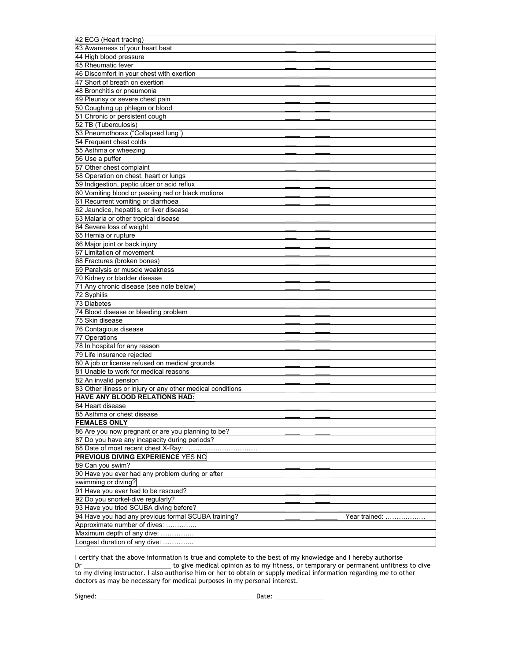| 42 ECG (Heart tracing)                                                                      |               |
|---------------------------------------------------------------------------------------------|---------------|
| 43 Awareness of your heart beat                                                             |               |
| 44 High blood pressure                                                                      |               |
| 45 Rheumatic fever                                                                          |               |
| 46 Discomfort in your chest with exertion                                                   |               |
| 47 Short of breath on exertion                                                              |               |
| 48 Bronchitis or pneumonia                                                                  |               |
| 49 Pleurisy or severe chest pain                                                            |               |
| 50 Coughing up phlegm or blood                                                              |               |
|                                                                                             |               |
| 51 Chronic or persistent cough                                                              |               |
| 52 TB (Tuberculosis)                                                                        |               |
| 53 Pneumothorax ("Collapsed lung")                                                          |               |
| 54 Frequent chest colds                                                                     |               |
| 55 Asthma or wheezing                                                                       |               |
| 56 Use a puffer                                                                             |               |
| 57 Other chest complaint                                                                    |               |
| 58 Operation on chest, heart or lungs                                                       |               |
| 59 Indigestion, peptic ulcer or acid reflux                                                 |               |
| 60 Vomiting blood or passing red or black motions                                           |               |
| 61 Recurrent vomiting or diarrhoea                                                          |               |
| 62 Jaundice, hepatitis, or liver disease                                                    |               |
| 63 Malaria or other tropical disease                                                        |               |
| 64 Severe loss of weight                                                                    |               |
| 65 Hernia or rupture                                                                        |               |
| 66 Major joint or back injury                                                               |               |
| 67 Limitation of movement                                                                   |               |
| 68 Fractures (broken bones)                                                                 |               |
| 69 Paralysis or muscle weakness                                                             |               |
| 70 Kidney or bladder disease                                                                |               |
| 71 Any chronic disease (see note below)                                                     |               |
|                                                                                             |               |
|                                                                                             |               |
| 72 Syphilis                                                                                 |               |
| 73 Diabetes                                                                                 |               |
| 74 Blood disease or bleeding problem                                                        |               |
| 75 Skin disease                                                                             |               |
| 76 Contagious disease                                                                       |               |
| 77 Operations                                                                               |               |
| 78 In hospital for any reason                                                               |               |
| 79 Life insurance rejected                                                                  |               |
| 80 A job or license refused on medical grounds                                              |               |
| 81 Unable to work for medical reasons                                                       |               |
| 82 An invalid pension                                                                       |               |
|                                                                                             |               |
| 83 Other illness or injury or any other medical conditions<br>HAVE ANY BLOOD RELATIONS HAD: |               |
| 84 Heart disease                                                                            |               |
|                                                                                             |               |
| 85 Asthma or chest disease                                                                  |               |
| <b>FEMALES ONLY</b>                                                                         |               |
| 86 Are you now pregnant or are you planning to be?                                          |               |
| 87 Do you have any incapacity during periods?                                               |               |
| 88 Date of most recent chest X-Ray:                                                         |               |
| <b>PREVIOUS DIVING EXPERIENCE YES NO</b>                                                    |               |
| 89 Can you swim?                                                                            |               |
| 90 Have you ever had any problem during or after                                            |               |
| swimming or diving?                                                                         |               |
| 91 Have you ever had to be rescued?                                                         |               |
| 92 Do you snorkel-dive regularly?                                                           |               |
| 93 Have you tried SCUBA diving before?                                                      |               |
| 94 Have you had any previous formal SCUBA training?                                         | Year trained: |
| Approximate number of dives:                                                                |               |
| Maximum depth of any dive:                                                                  |               |

I certify that the above information is true and complete to the best of my knowledge and I hereby authorise Dr \_\_\_\_\_\_\_\_\_\_\_\_\_\_\_\_\_\_\_\_\_\_\_\_\_ to give medical opinion as to my fitness, or temporary or permanent unfitness to dive to my diving instructor. I also authorise him or her to obtain or supply medical information regarding me to other doctors as may be necessary for medical purposes in my personal interest.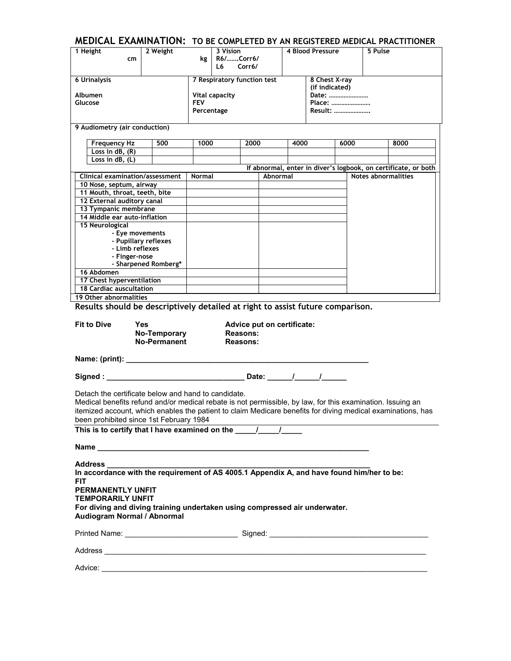|                                                                                                             |                      |               |                             |                 |                            |      |                  |         |                     | MEDICAL EXAMINATION: TO BE COMPLETED BY AN REGISTERED MEDICAL PRACTITIONER |
|-------------------------------------------------------------------------------------------------------------|----------------------|---------------|-----------------------------|-----------------|----------------------------|------|------------------|---------|---------------------|----------------------------------------------------------------------------|
| 1 Height                                                                                                    | 2 Weight             |               | 3 Vision                    |                 |                            |      | 4 Blood Pressure |         | 5 Pulse             |                                                                            |
| cm                                                                                                          |                      | kg l          | R6/Corr6/                   |                 |                            |      |                  |         |                     |                                                                            |
|                                                                                                             |                      |               | L6.                         | Corr6/          |                            |      |                  |         |                     |                                                                            |
| <b>6 Urinalysis</b>                                                                                         |                      |               | 7 Respiratory function test |                 |                            |      | 8 Chest X-ray    |         |                     |                                                                            |
|                                                                                                             |                      |               |                             |                 |                            |      | (if indicated)   |         |                     |                                                                            |
| Albumen                                                                                                     |                      |               | <b>Vital capacity</b>       |                 |                            |      |                  | Date:   |                     |                                                                            |
| Glucose                                                                                                     |                      | <b>FEV</b>    |                             |                 |                            |      |                  | Place:  |                     |                                                                            |
|                                                                                                             |                      | Percentage    |                             |                 |                            |      |                  | Result: |                     |                                                                            |
|                                                                                                             |                      |               |                             |                 |                            |      |                  |         |                     |                                                                            |
| 9 Audiometry (air conduction)                                                                               |                      |               |                             |                 |                            |      |                  |         |                     |                                                                            |
|                                                                                                             |                      |               |                             |                 |                            |      |                  |         |                     |                                                                            |
| <b>Frequency Hz</b>                                                                                         | 500                  | 1000          |                             | 2000            |                            | 4000 |                  | 6000    |                     | 8000                                                                       |
| Loss in $dB$ , $(R)$                                                                                        |                      |               |                             |                 |                            |      |                  |         |                     |                                                                            |
| Loss in $dB$ , $(L)$                                                                                        |                      |               |                             |                 |                            |      |                  |         |                     |                                                                            |
|                                                                                                             |                      |               |                             |                 |                            |      |                  |         |                     | If abnormal, enter in diver's logbook, on certificate, or both             |
| Clinical examination/assessment                                                                             |                      | <b>Normal</b> |                             |                 | Abnormal                   |      |                  |         | Notes abnormalities |                                                                            |
| 10 Nose, septum, airway                                                                                     |                      |               |                             |                 |                            |      |                  |         |                     |                                                                            |
| 11 Mouth, throat, teeth, bite                                                                               |                      |               |                             |                 |                            |      |                  |         |                     |                                                                            |
| 12 External auditory canal                                                                                  |                      |               |                             |                 |                            |      |                  |         |                     |                                                                            |
| 13 Tympanic membrane<br>14 Middle ear auto-inflation                                                        |                      |               |                             |                 |                            |      |                  |         |                     |                                                                            |
| 15 Neurological                                                                                             |                      |               |                             |                 |                            |      |                  |         |                     |                                                                            |
| - Eye movements                                                                                             |                      |               |                             |                 |                            |      |                  |         |                     |                                                                            |
|                                                                                                             | - Pupillary reflexes |               |                             |                 |                            |      |                  |         |                     |                                                                            |
| - Limb reflexes                                                                                             |                      |               |                             |                 |                            |      |                  |         |                     |                                                                            |
| - Finger-nose                                                                                               |                      |               |                             |                 |                            |      |                  |         |                     |                                                                            |
|                                                                                                             | - Sharpened Romberg* |               |                             |                 |                            |      |                  |         |                     |                                                                            |
| 16 Abdomen                                                                                                  |                      |               |                             |                 |                            |      |                  |         |                     |                                                                            |
| 17 Chest hyperventilation                                                                                   |                      |               |                             |                 |                            |      |                  |         |                     |                                                                            |
| 18 Cardiac auscultation                                                                                     |                      |               |                             |                 |                            |      |                  |         |                     |                                                                            |
| 19 Other abnormalities                                                                                      |                      |               |                             |                 |                            |      |                  |         |                     |                                                                            |
| Results should be descriptively detailed at right to assist future comparison.                              |                      |               |                             |                 |                            |      |                  |         |                     |                                                                            |
|                                                                                                             |                      |               |                             |                 |                            |      |                  |         |                     |                                                                            |
| <b>Fit to Dive</b>                                                                                          | Yes                  |               |                             |                 | Advice put on certificate: |      |                  |         |                     |                                                                            |
|                                                                                                             | No-Temporary         |               |                             | <b>Reasons:</b> |                            |      |                  |         |                     |                                                                            |
|                                                                                                             |                      |               |                             |                 |                            |      |                  |         |                     |                                                                            |
|                                                                                                             |                      |               |                             |                 |                            |      |                  |         |                     |                                                                            |
|                                                                                                             | <b>No-Permanent</b>  |               |                             | Reasons:        |                            |      |                  |         |                     |                                                                            |
|                                                                                                             |                      |               |                             |                 |                            |      |                  |         |                     |                                                                            |
| Name: (print): ___________                                                                                  |                      |               |                             |                 |                            |      |                  |         |                     |                                                                            |
|                                                                                                             |                      |               |                             |                 |                            |      |                  |         |                     |                                                                            |
|                                                                                                             |                      |               |                             |                 |                            |      |                  |         |                     |                                                                            |
|                                                                                                             |                      |               |                             |                 |                            |      |                  |         |                     |                                                                            |
| Detach the certificate below and hand to candidate.                                                         |                      |               |                             |                 |                            |      |                  |         |                     |                                                                            |
| Medical benefits refund and/or medical rebate is not permissible, by law, for this examination. Issuing an  |                      |               |                             |                 |                            |      |                  |         |                     |                                                                            |
| itemized account, which enables the patient to claim Medicare benefits for diving medical examinations, has |                      |               |                             |                 |                            |      |                  |         |                     |                                                                            |
| been prohibited since 1st February 1984                                                                     |                      |               |                             |                 |                            |      |                  |         |                     |                                                                            |
|                                                                                                             |                      |               |                             |                 |                            |      |                  |         |                     |                                                                            |
|                                                                                                             |                      |               |                             |                 |                            |      |                  |         |                     |                                                                            |
|                                                                                                             |                      |               |                             |                 |                            |      |                  |         |                     |                                                                            |
|                                                                                                             |                      |               |                             |                 |                            |      |                  |         |                     |                                                                            |
|                                                                                                             |                      |               |                             |                 |                            |      |                  |         |                     |                                                                            |
|                                                                                                             |                      |               |                             |                 |                            |      |                  |         |                     |                                                                            |
| <b>FIT</b>                                                                                                  |                      |               |                             |                 |                            |      |                  |         |                     |                                                                            |
| <b>PERMANENTLY UNFIT</b>                                                                                    |                      |               |                             |                 |                            |      |                  |         |                     |                                                                            |
| <b>TEMPORARILY UNFIT</b>                                                                                    |                      |               |                             |                 |                            |      |                  |         |                     |                                                                            |
| For diving and diving training undertaken using compressed air underwater.                                  |                      |               |                             |                 |                            |      |                  |         |                     |                                                                            |
| Audiogram Normal / Abnormal                                                                                 |                      |               |                             |                 |                            |      |                  |         |                     |                                                                            |
|                                                                                                             |                      |               |                             |                 |                            |      |                  |         |                     |                                                                            |
|                                                                                                             |                      |               |                             |                 |                            |      |                  |         |                     |                                                                            |
|                                                                                                             |                      |               |                             |                 |                            |      |                  |         |                     |                                                                            |
|                                                                                                             |                      |               |                             |                 |                            |      |                  |         |                     |                                                                            |
|                                                                                                             |                      |               |                             |                 |                            |      |                  |         |                     |                                                                            |